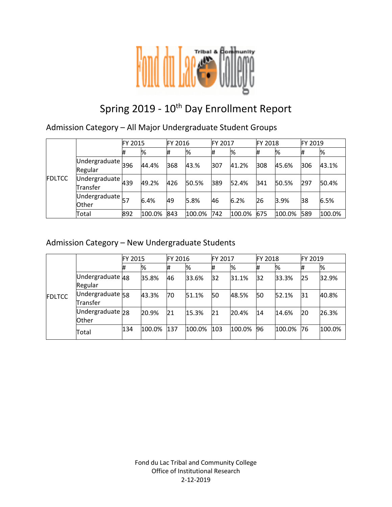

# Spring 2019 - 10<sup>th</sup> Day Enrollment Report

Admission Category – All Major Undergraduate Student Groups

|               |                                                         | FY 2015 |        | <b>FY 2016</b> |        | FY 2017 |        | FY 2018 |        | <b>FY 2019</b> |        |
|---------------|---------------------------------------------------------|---------|--------|----------------|--------|---------|--------|---------|--------|----------------|--------|
| <b>FDLTCC</b> |                                                         | #       | %      | #              | ℅      | #       | %      | #       | %      | #              | %      |
|               | $\overline{U}$ ndergraduate $\overline{396}$<br>Regular |         | 44.4%  | 368            | 43.%   | 307     | 41.2%  | 308     | 45.6%  | 306            | 43.1%  |
|               | Undergraduate $\mu$ 39<br>Transfer                      |         | 49.2%  | 426            | 50.5%  | 389     | 52.4%  | 341     | 50.5%  | 297            | 50.4%  |
|               | Undergraduate $_{57}$<br><b>Other</b>                   |         | 6.4%   | 49             | 5.8%   | 46      | 6.2%   | 26      | 3.9%   | 38             | 6.5%   |
|               | Total                                                   | 892     | 100.0% | 843            | 100.0% | 742     | 100.0% | 675     | 100.0% | 589            | 100.0% |

### Admission Category – New Undergraduate Students

|               |                              | FY 2015 |        | FY 2016 |        | <b>FY 2017</b> |        | <b>FY 2018</b> |        | FY 2019 |        |
|---------------|------------------------------|---------|--------|---------|--------|----------------|--------|----------------|--------|---------|--------|
|               |                              | #       | %      |         | %      | #              | %      | #              | %      | #       | %      |
| <b>FDLTCC</b> | Undergraduate 48<br>Regular  |         | 35.8%  | 46      | 33.6%  | 32             | 31.1%  | 32             | 33.3%  | 25      | 32.9%  |
|               | Undergraduate 58<br>Transfer |         | 43.3%  | 70      | 51.1%  | 50             | 48.5%  | 50             | 52.1%  | 31      | 40.8%  |
|               | Undergraduate 28<br>Other    |         | 20.9%  | 21      | 15.3%  | 21             | 20.4%  | 14             | 14.6%  | 20      | 26.3%  |
|               | Total                        | 134     | 100.0% | 137     | 100.0% | 103            | 100.0% | 96             | 100.0% | 76      | 100.0% |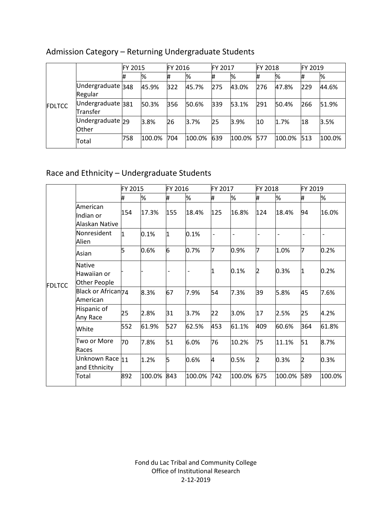|               |                               | <b>FY 2015</b> |        | FY 2016 |        | FY 2017 |        | <b>FY 2018</b> |        | FY 2019 |        |
|---------------|-------------------------------|----------------|--------|---------|--------|---------|--------|----------------|--------|---------|--------|
| <b>FDLTCC</b> |                               | #              | %      |         | %      |         | %      | #              | %      |         | %      |
|               | Undergraduate 348<br>Regular  |                | 45.9%  | 322     | 45.7%  | 275     | 43.0%  | 276            | 47.8%  | 229     | 44.6%  |
|               | Undergraduate 381<br>Transfer |                | 50.3%  | 356     | 50.6%  | 339     | 53.1%  | 291            | 50.4%  | 266     | 51.9%  |
|               | Undergraduate 29<br>Other     |                | 3.8%   | 26      | 3.7%   | 25      | 3.9%   | 10             | 1.7%   | 18      | 3.5%   |
|               | Total                         | 758            | 100.0% | 704     | 100.0% | 639     | 100.0% | 577            | 100.0% | 513     | 100.0% |

# Admission Category – Returning Undergraduate Students

# Race and Ethnicity – Undergraduate Students

|               |                                              | FY 2015 |        | FY 2016                      |        | FY 2017 |                          | FY 2018        |        | FY 2019                  |        |
|---------------|----------------------------------------------|---------|--------|------------------------------|--------|---------|--------------------------|----------------|--------|--------------------------|--------|
|               |                                              | #       | %      | #                            | %      | #       | %                        | #              | %      | #                        | %      |
|               | American<br>Indian or<br>Alaskan Native      | 154     | 17.3%  | 155                          | 18.4%  | 125     | 16.8%                    | 124            | 18.4%  | 94                       | 16.0%  |
|               | Nonresident<br>Alien                         | 1       | 0.1%   | 1                            | 0.1%   |         | $\overline{\phantom{0}}$ |                |        | $\overline{\phantom{a}}$ |        |
|               | Asian                                        | 5       | 0.6%   | 6                            | 0.7%   | 7       | 0.9%                     | 17             | 1.0%   | 7                        | 0.2%   |
| <b>FDLTCC</b> | <b>Native</b><br>Hawaiian or<br>Other People |         |        | $\qquad \qquad \blacksquare$ |        | 1       | 0.1%                     | 2              | 0.3%   | 11                       | 0.2%   |
|               | Black or African <sub>74</sub><br>American   |         | 8.3%   | 67                           | 7.9%   | 54      | 7.3%                     | 39             | 5.8%   | 45                       | 7.6%   |
|               | Hispanic of<br>Any Race                      | 25      | 2.8%   | 31                           | 3.7%   | 22      | 3.0%                     | 17             | 2.5%   | 25                       | 4.2%   |
|               | White                                        | 552     | 61.9%  | 527                          | 62.5%  | 453     | 61.1%                    | 409            | 60.6%  | 364                      | 61.8%  |
|               | Two or More<br>Races                         | 70      | 7.8%   | 51                           | 6.0%   | 76      | 10.2%                    | 75             | 11.1%  | 51                       | 8.7%   |
|               | Unknown Race 11<br>and Ethnicity             |         | 1.2%   | 5                            | 0.6%   | 4       | 0.5%                     | $\overline{2}$ | 0.3%   | 2                        | 0.3%   |
|               | Total                                        | 892     | 100.0% | 843                          | 100.0% | 742     | 100.0%                   | 675            | 100.0% | 589                      | 100.0% |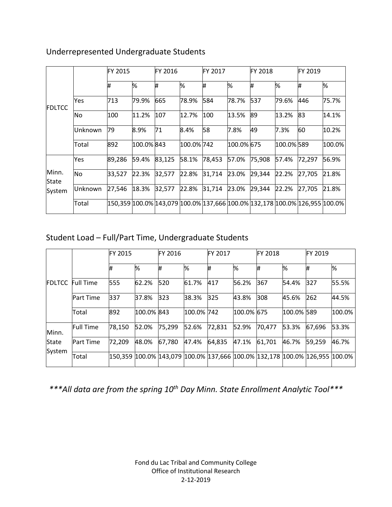|                |           | FY 2015                                                                    |            | FY 2016 |            | FY 2017 |            | <b>FY 2018</b> |            | FY 2019 |        |
|----------------|-----------|----------------------------------------------------------------------------|------------|---------|------------|---------|------------|----------------|------------|---------|--------|
| FDLTCC         |           | #                                                                          | %          | Ħ.      | %          | Ħ.      | %          | Ħ.             | %          | Ħ.      | %      |
|                | Yes       | 713                                                                        | 79.9%      | 665     | 78.9%      | 584     | 78.7%      | 537            | 79.6%      | 446     | 75.7%  |
|                | <b>No</b> | 100                                                                        | 11.2%      | 107     | 12.7%      | 100     | 13.5%      | 89             | 13.2%      | 83      | 14.1%  |
|                | lUnknown  | 79                                                                         | 8.9%       | 71      | 8.4%       | 58      | 7.8%       | 49             | 7.3%       | 60      | 10.2%  |
|                | Total     | 892                                                                        | 100.0% 843 |         | 100.0% 742 |         | 100.0% 675 |                | 100.0% 589 |         | 100.0% |
|                | Yes       | 89,286                                                                     | 59.4%      | 83,125  | 58.1%      | 78,453  | 57.0%      | 75,908         | 57.4%      | 72,297  | 56.9%  |
| Minn.<br>State | <b>No</b> | 33,527                                                                     | 22.3%      | 32,577  | 22.8%      | 31,714  | 23.0%      | 29,344         | 22.2%      | 27,705  | 21.8%  |
| System         | lUnknown  | 27,546                                                                     | 18.3%      | 32,577  | 22.8%      | 31,714  | 23.0%      | 29,344         | 22.2%      | 27,705  | 21.8%  |
|                | Total     | 150,359 100.0% 143,079 100.0% 137,666 100.0% 132,178 100.0% 126,955 100.0% |            |         |            |         |            |                |            |         |        |

### Underrepresented Undergraduate Students

# Student Load – Full/Part Time, Undergraduate Students

|               |                  | <b>IFY 2015</b> |            | FY 2016                                                                             |            | <b>IFY 2017</b> |            |        | <b>FY 2018</b> |        |        |
|---------------|------------------|-----------------|------------|-------------------------------------------------------------------------------------|------------|-----------------|------------|--------|----------------|--------|--------|
|               |                  | #               | %          | #                                                                                   | %          | #               | %          | #      | %              | #      | %      |
| <b>FDLTCC</b> | <b>Full Time</b> | 555             | 62.2%      | 520                                                                                 | 61.7%      | 417             | 56.2%      | 367    | 54.4%          | 327    | 55.5%  |
|               | <b>Part Time</b> | 337             | 37.8%      | 323                                                                                 | 38.3%      | 325             | 43.8%      | 308    | 45.6%          | 262    | 44.5%  |
|               | Total            | 892             | 100.0% 843 |                                                                                     | 100.0% 742 |                 | 100.0% 675 |        | 100.0% 589     |        | 100.0% |
| Minn.         | <b>Full Time</b> | 78,150          | 52.0%      | 75,299                                                                              | 52.6%      | 72,831          | 52.9%      | 70,477 | 53.3%          | 67,696 | 53.3%  |
| State         | <b>Part Time</b> | 72,209          | 48.0%      | 67,780                                                                              | 47.4%      | 64,835          | 47.1%      | 61,701 | 46.7%          | 59,259 | 46.7%  |
| System        | Total            |                 |            | 150,359  100.0%  143,079  100.0%  137,666  100.0%  132,178  100.0%  126,955  100.0% |            |                 |            |        |                |        |        |

*\*\*\*All data are from the spring 10th Day Minn. State Enrollment Analytic Tool\*\*\**